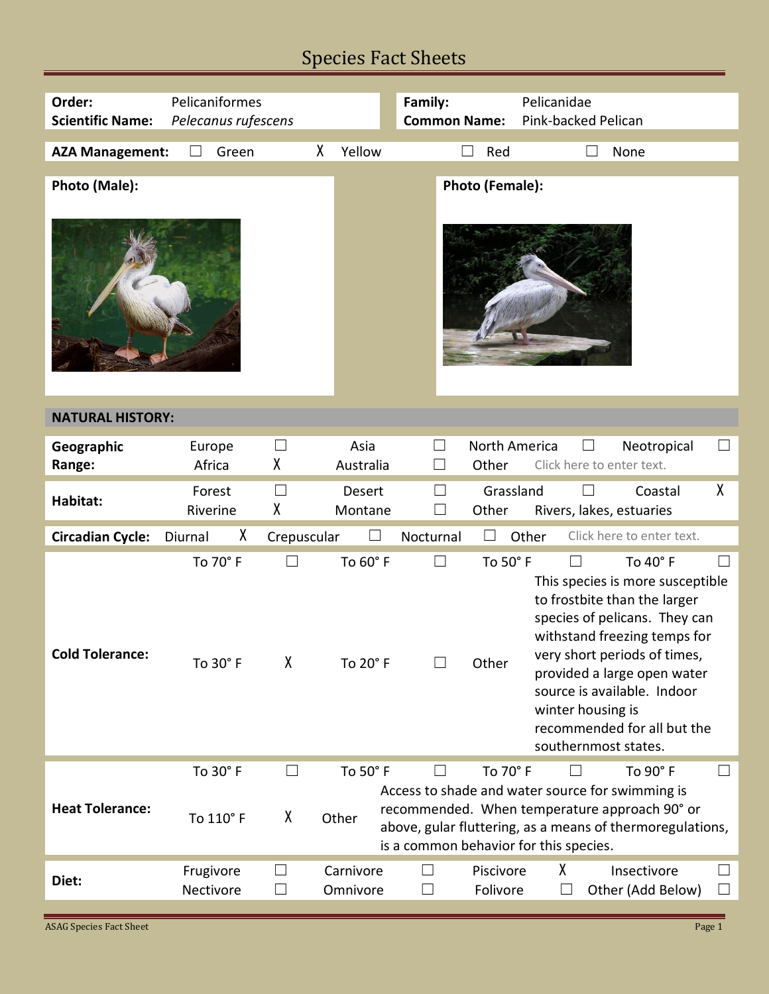## Species Fact Sheets

| Order:                  | Pelicaniformes         |                  |                          | Family:<br>Pelicanidae                                                                               |                        |                                                     |                                                                                                                                                                                                                                                                            |                    |
|-------------------------|------------------------|------------------|--------------------------|------------------------------------------------------------------------------------------------------|------------------------|-----------------------------------------------------|----------------------------------------------------------------------------------------------------------------------------------------------------------------------------------------------------------------------------------------------------------------------------|--------------------|
| <b>Scientific Name:</b> | Pelecanus rufescens    |                  |                          | <b>Common Name:</b><br>Pink-backed Pelican                                                           |                        |                                                     |                                                                                                                                                                                                                                                                            |                    |
| <b>AZA Management:</b>  | Green<br>$\mathcal{L}$ |                  | χ<br>Yellow              |                                                                                                      | Red                    |                                                     | None                                                                                                                                                                                                                                                                       |                    |
|                         |                        |                  |                          |                                                                                                      |                        |                                                     |                                                                                                                                                                                                                                                                            |                    |
| Photo (Male):           |                        |                  |                          |                                                                                                      | Photo (Female):        |                                                     |                                                                                                                                                                                                                                                                            |                    |
| <b>NATURAL HISTORY:</b> |                        |                  |                          |                                                                                                      |                        |                                                     |                                                                                                                                                                                                                                                                            |                    |
| Geographic<br>Range:    | Europe<br>Africa       | $\Box$<br>χ      | Asia<br>Australia        | $\Box$                                                                                               | North America<br>Other | Click here to enter text.                           | Neotropical                                                                                                                                                                                                                                                                | $\Box$             |
| Habitat:                | Forest<br>Riverine     | $\Box$<br>χ      | <b>Desert</b><br>Montane | $\Box$                                                                                               | Grassland<br>Other     | Rivers, lakes, estuaries                            | Coastal                                                                                                                                                                                                                                                                    | χ                  |
| <b>Circadian Cycle:</b> | X<br>Diurnal           | Crepuscular      | ப                        | Nocturnal                                                                                            | Other                  |                                                     | Click here to enter text.                                                                                                                                                                                                                                                  |                    |
| <b>Cold Tolerance:</b>  | To 70° F<br>To 30° F   | χ                | To 60° F<br>To 20° F     | $\Box$                                                                                               | To 50° F<br>Other      | $\Box$<br>winter housing is<br>southernmost states. | To 40° F<br>This species is more susceptible<br>to frostbite than the larger<br>species of pelicans. They can<br>withstand freezing temps for<br>very short periods of times,<br>provided a large open water<br>source is available. Indoor<br>recommended for all but the | $\blacksquare$     |
| <b>Heat Tolerance:</b>  | To 30° F<br>To 110° F  | $\Box$<br>χ      | To 50° F<br>Other        | $\Box$<br>Access to shade and water source for swimming is<br>is a common behavior for this species. | To 70° F               | $\vert \ \ \vert$                                   | To 90° F<br>recommended. When temperature approach 90° or<br>above, gular fluttering, as a means of thermoregulations,                                                                                                                                                     | $\Box$             |
| Diet:                   | Frugivore<br>Nectivore | $\Box$<br>$\Box$ | Carnivore<br>Omnivore    | ⊔<br>⊔                                                                                               | Piscivore<br>Folivore  | χ<br>$\vert \ \ \vert$                              | Insectivore<br>Other (Add Below)                                                                                                                                                                                                                                           | $\Box$<br>$\sqcup$ |

**ASAG Species Fact Sheet** Page 1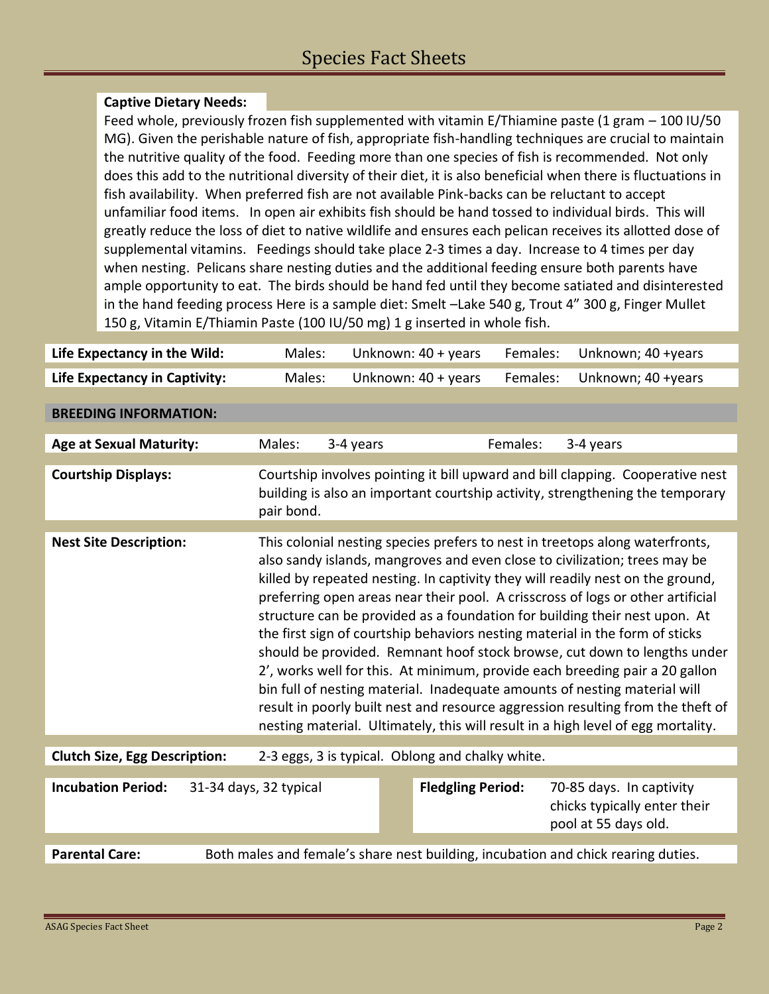## **Captive Dietary Needs:**

Feed whole, previously frozen fish supplemented with vitamin E/Thiamine paste (1 gram – 100 IU/50 MG). Given the perishable nature of fish, appropriate fish-handling techniques are crucial to maintain the nutritive quality of the food. Feeding more than one species of fish is recommended. Not only does this add to the nutritional diversity of their diet, it is also beneficial when there is fluctuations in fish availability. When preferred fish are not available Pink-backs can be reluctant to accept unfamiliar food items. In open air exhibits fish should be hand tossed to individual birds. This will greatly reduce the loss of diet to native wildlife and ensures each pelican receives its allotted dose of supplemental vitamins. Feedings should take place 2-3 times a day. Increase to 4 times per day when nesting. Pelicans share nesting duties and the additional feeding ensure both parents have ample opportunity to eat. The birds should be hand fed until they become satiated and disinterested in the hand feeding process Here is a sample diet: Smelt –Lake 540 g, Trout 4" 300 g, Finger Mullet 150 g, Vitamin E/Thiamin Paste (100 IU/50 mg) 1 g inserted in whole fish.

| Life Expectancy in the Wild:                        | Males:                                                                            |           | Unknown: 40 + years      | Females: | Unknown; 40 +years                                                                                                                                                                                                                                                                                                                                                                                                                                                                                                                                                                                                                                                                                                                                                                                                                                                                                           |
|-----------------------------------------------------|-----------------------------------------------------------------------------------|-----------|--------------------------|----------|--------------------------------------------------------------------------------------------------------------------------------------------------------------------------------------------------------------------------------------------------------------------------------------------------------------------------------------------------------------------------------------------------------------------------------------------------------------------------------------------------------------------------------------------------------------------------------------------------------------------------------------------------------------------------------------------------------------------------------------------------------------------------------------------------------------------------------------------------------------------------------------------------------------|
| <b>Life Expectancy in Captivity:</b>                | Males:                                                                            |           | Unknown: 40 + years      | Females: | Unknown; 40 +years                                                                                                                                                                                                                                                                                                                                                                                                                                                                                                                                                                                                                                                                                                                                                                                                                                                                                           |
|                                                     |                                                                                   |           |                          |          |                                                                                                                                                                                                                                                                                                                                                                                                                                                                                                                                                                                                                                                                                                                                                                                                                                                                                                              |
| <b>BREEDING INFORMATION:</b>                        |                                                                                   |           |                          |          |                                                                                                                                                                                                                                                                                                                                                                                                                                                                                                                                                                                                                                                                                                                                                                                                                                                                                                              |
| <b>Age at Sexual Maturity:</b>                      | Males:                                                                            | 3-4 years |                          | Females: | 3-4 years                                                                                                                                                                                                                                                                                                                                                                                                                                                                                                                                                                                                                                                                                                                                                                                                                                                                                                    |
| <b>Courtship Displays:</b>                          | pair bond.                                                                        |           |                          |          | Courtship involves pointing it bill upward and bill clapping. Cooperative nest<br>building is also an important courtship activity, strengthening the temporary                                                                                                                                                                                                                                                                                                                                                                                                                                                                                                                                                                                                                                                                                                                                              |
|                                                     |                                                                                   |           |                          |          |                                                                                                                                                                                                                                                                                                                                                                                                                                                                                                                                                                                                                                                                                                                                                                                                                                                                                                              |
| <b>Nest Site Description:</b>                       |                                                                                   |           |                          |          | This colonial nesting species prefers to nest in treetops along waterfronts,<br>also sandy islands, mangroves and even close to civilization; trees may be<br>killed by repeated nesting. In captivity they will readily nest on the ground,<br>preferring open areas near their pool. A crisscross of logs or other artificial<br>structure can be provided as a foundation for building their nest upon. At<br>the first sign of courtship behaviors nesting material in the form of sticks<br>should be provided. Remnant hoof stock browse, cut down to lengths under<br>2', works well for this. At minimum, provide each breeding pair a 20 gallon<br>bin full of nesting material. Inadequate amounts of nesting material will<br>result in poorly built nest and resource aggression resulting from the theft of<br>nesting material. Ultimately, this will result in a high level of egg mortality. |
| <b>Clutch Size, Egg Description:</b>                | 2-3 eggs, 3 is typical. Oblong and chalky white.                                  |           |                          |          |                                                                                                                                                                                                                                                                                                                                                                                                                                                                                                                                                                                                                                                                                                                                                                                                                                                                                                              |
|                                                     |                                                                                   |           |                          |          |                                                                                                                                                                                                                                                                                                                                                                                                                                                                                                                                                                                                                                                                                                                                                                                                                                                                                                              |
| <b>Incubation Period:</b><br>31-34 days, 32 typical |                                                                                   |           | <b>Fledgling Period:</b> |          | 70-85 days. In captivity<br>chicks typically enter their<br>pool at 55 days old.                                                                                                                                                                                                                                                                                                                                                                                                                                                                                                                                                                                                                                                                                                                                                                                                                             |
|                                                     |                                                                                   |           |                          |          |                                                                                                                                                                                                                                                                                                                                                                                                                                                                                                                                                                                                                                                                                                                                                                                                                                                                                                              |
| <b>Parental Care:</b>                               | Both males and female's share nest building, incubation and chick rearing duties. |           |                          |          |                                                                                                                                                                                                                                                                                                                                                                                                                                                                                                                                                                                                                                                                                                                                                                                                                                                                                                              |